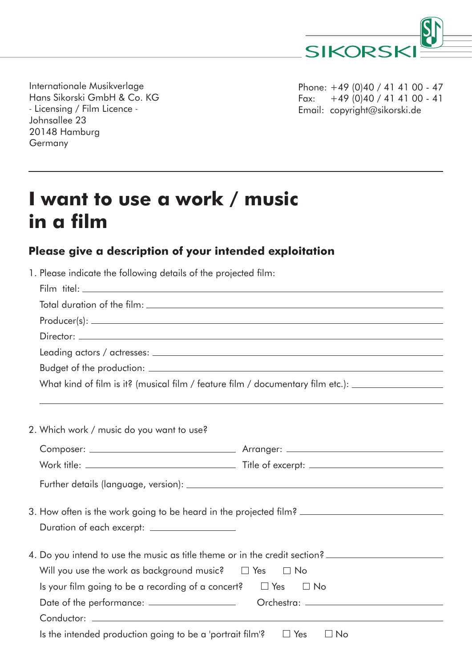

Internationale Musikverlage Hans Sikorski GmbH & Co. KG - Licensing / Film Licence - Johnsallee 23 20148 Hamburg Germany

Phone: +49 (0)40 / 41 41 00 - 47 Fax:  $+49(0)40/414100 - 41$ Email: copyright@sikorski.de

## **I want to use a work / music in a film**

## **Please give a description of your intended exploitation**

| 1. Please indicate the following details of the projected film:               |                                                                                                      |
|-------------------------------------------------------------------------------|------------------------------------------------------------------------------------------------------|
|                                                                               |                                                                                                      |
|                                                                               |                                                                                                      |
|                                                                               |                                                                                                      |
|                                                                               |                                                                                                      |
|                                                                               |                                                                                                      |
|                                                                               |                                                                                                      |
|                                                                               | What kind of film is it? (musical film / feature film / documentary film etc.): ____________________ |
|                                                                               |                                                                                                      |
|                                                                               |                                                                                                      |
| 2. Which work / music do you want to use?                                     |                                                                                                      |
|                                                                               |                                                                                                      |
|                                                                               |                                                                                                      |
|                                                                               |                                                                                                      |
|                                                                               | 3. How often is the work going to be heard in the projected film?                                    |
|                                                                               |                                                                                                      |
|                                                                               | 4. Do you intend to use the music as title theme or in the credit section?                           |
| Will you use the work as background music? $\square$ Yes $\square$ No         |                                                                                                      |
| Is your film going to be a recording of a concert? $\square$ Yes $\square$ No |                                                                                                      |
|                                                                               |                                                                                                      |
|                                                                               |                                                                                                      |
| Is the intended production going to be a 'portrait film'? $\square$ Yes       | $\Box$ No                                                                                            |
|                                                                               |                                                                                                      |